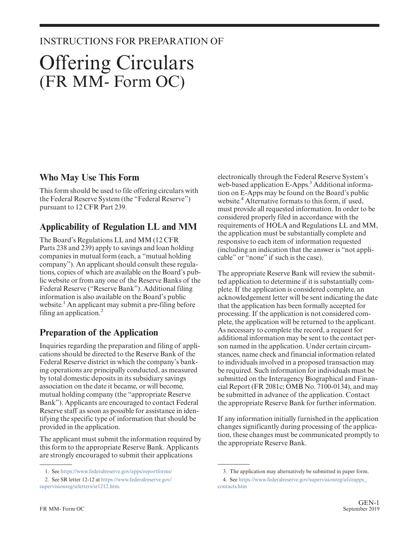### INSTRUCTIONS FOR PREPARATION OF

# Offering Circulars (FR MM- Form OC)

#### **Who May Use This Form**

This form should be used to file offering circulars with the Federal Reserve System (the "Federal Reserve") pursuant to 12 CFR Part 239.

## **Applicability of Regulation LL and MM**

The Board's Regulations LL and MM (12 CFR Parts 238 and 239) apply to savings and loan holding companies in mutual form (each, a "mutual holding company"). An applicant should consult these regulations, copies of which are available on the Board's public website or from any one of the Reserve Banks of the Federal Reserve ("Reserve Bank"). Additional filing information is also available on the Board's public website.<sup>1</sup> An applicant may submit a pre-filing before filing an application. $<sup>2</sup>$ </sup>

## **Preparation of the Application**

Inquiries regarding the preparation and filing of applications should be directed to the Reserve Bank of the Federal Reserve district in which the company's banking operations are principally conducted, as measured by total domestic deposits in its subsidiary savings association on the date it became, or will become, mutual holding company (the "appropriate Reserve Bank"). Applicants are encouraged to contact Federal Reserve staff as soon as possible for assistance in identifying the specific type of information that should be provided in the application.

The applicant must submit the information required by this form to the appropriate Reserve Bank. Applicants are strongly encouraged to submit their applications

electronically through the Federal Reserve System's web-based application E-Apps.<sup>3</sup> Additional information on E-Apps may be found on the Board's public website.<sup>4</sup> Alternative formats to this form, if used, must provide all requested information. In order to be considered properly filed in accordance with the requirements of HOLA and Regulations LL and MM, the application must be substantially complete and responsive to each item of information requested (including an indication that the answer is "not applicable" or "none" if such is the case).

The appropriate Reserve Bank will review the submitted application to determine if it is substantially complete. If the application is considered complete, an acknowledgement letter will be sent indicating the date that the application has been formally accepted for processing. If the application is not considered complete, the application will be returned to the applicant. As necessary to complete the record, a request for additional information may be sent to the contact person named in the application. Under certain circumstances, name check and financial information related to individuals involved in a proposed transaction may be required. Such information for individuals must be submitted on the Interagency Biographical and Financial Report (FR 2081c; OMB No. 7100-0134), and may be submitted in advance of the application. Contact the appropriate Reserve Bank for further information.

If any information initially furnished in the application changes significantly during processing of the application, these changes must be communicated promptly to the appropriate Reserve Bank.

<sup>1.</sup> See <https://www.federalreserve.gov/apps/reportforms/>

<sup>2.</sup> See SR letter 12-12 at [https://www.federalreserve.gov/](https://www.federalreserve.gov/supervisionreg/srletters/sr1212.htm) [supervisionreg/srletters/sr1212.htm.](https://www.federalreserve.gov/supervisionreg/srletters/sr1212.htm)

<sup>3.</sup> The application may alternatively be submitted in paper form.

<sup>4.</sup> See [https://www.federalreserve.gov/supervisionreg/afi/eapps\\_](https://www.federalreserve.gov/supervisionreg/afi/eapps_contacts.htm) [contacts.htm](https://www.federalreserve.gov/supervisionreg/afi/eapps_contacts.htm)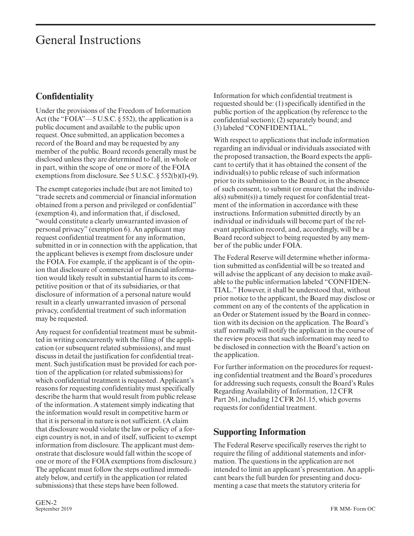# General Instructions

# **Confidentiality**

Under the provisions of the Freedom of Information Act (the "FOIA"—5 U.S.C. § 552), the application is a public document and available to the public upon request. Once submitted, an application becomes a record of the Board and may be requested by any member of the public. Board records generally must be disclosed unless they are determined to fall, in whole or in part, within the scope of one or more of the FOIA exemptions from disclosure. See 5 U.S.C. § 552(b)(l)-(9).

The exempt categories include (but are not limited to) "trade secrets and commercial or financial information obtained from a person and privileged or confidential" (exemption 4), and information that, if disclosed, "would constitute a clearly unwarranted invasion of personal privacy" (exemption 6). An applicant may request confidential treatment for any information, submitted in or in connection with the application, that the applicant believes is exempt from disclosure under the FOIA. For example, if the applicant is of the opinion that disclosure of commercial or financial information would likely result in substantial harm to its competitive position or that of its subsidiaries, or that disclosure of information of a personal nature would result in a clearly unwarranted invasion of personal privacy, confidential treatment of such information may be requested.

Any request for confidential treatment must be submitted in writing concurrently with the filing of the application (or subsequent related submissions), and must discuss in detail the justification for confidential treatment. Such justification must be provided for each portion of the application (or related submissions) for which confidential treatment is requested. Applicant's reasons for requesting confidentiality must specifically describe the harm that would result from public release of the information. A statement simply indicating that the information would result in competitive harm or that it is personal in nature is not sufficient. (A claim that disclosure would violate the law or policy of a foreign country is not, in and of itself, sufficient to exempt information from disclosure. The applicant must demonstrate that disclosure would fall within the scope of one or more of the FOIA exemptions from disclosure.) The applicant must follow the steps outlined immediately below, and certify in the application (or related submissions) that these steps have been followed.

Information for which confidential treatment is requested should be: (1) specifically identified in the public portion of the application (by reference to the confidential section); (2) separately bound; and (3) labeled "CONFIDENTIAL."

With respect to applications that include information regarding an individual or individuals associated with the proposed transaction, the Board expects the applicant to certify that it has obtained the consent of the individual(s) to public release of such information prior to its submission to the Board or, in the absence of such consent, to submit (or ensure that the individual(s) submit(s)) a timely request for confidential treatment of the information in accordance with these instructions. Information submitted directly by an individual or individuals will become part of the relevant application record, and, accordingly, will be a Board record subject to being requested by any member of the public under FOIA.

The Federal Reserve will determine whether information submitted as confidential will be so treated and will advise the applicant of any decision to make available to the public information labeled "CONFIDEN-TIAL." However, it shall be understood that, without prior notice to the applicant, the Board may disclose or comment on any of the contents of the application in an Order or Statement issued by the Board in connection with its decision on the application. The Board's staff normally will notify the applicant in the course of the review process that such information may need to be disclosed in connection with the Board's action on the application.

For further information on the procedures for requesting confidential treatment and the Board's procedures for addressing such requests, consult the Board's Rules Regarding Availability of Information, 12 CFR Part 261, including 12 CFR 261.15, which governs requests for confidential treatment.

#### **Supporting Information**

The Federal Reserve specifically reserves the right to require the filing of additional statements and information. The questions in the application are not intended to limit an applicant's presentation. An applicant bears the full burden for presenting and documenting a case that meets the statutory criteria for

GEN-2<br>September 2019